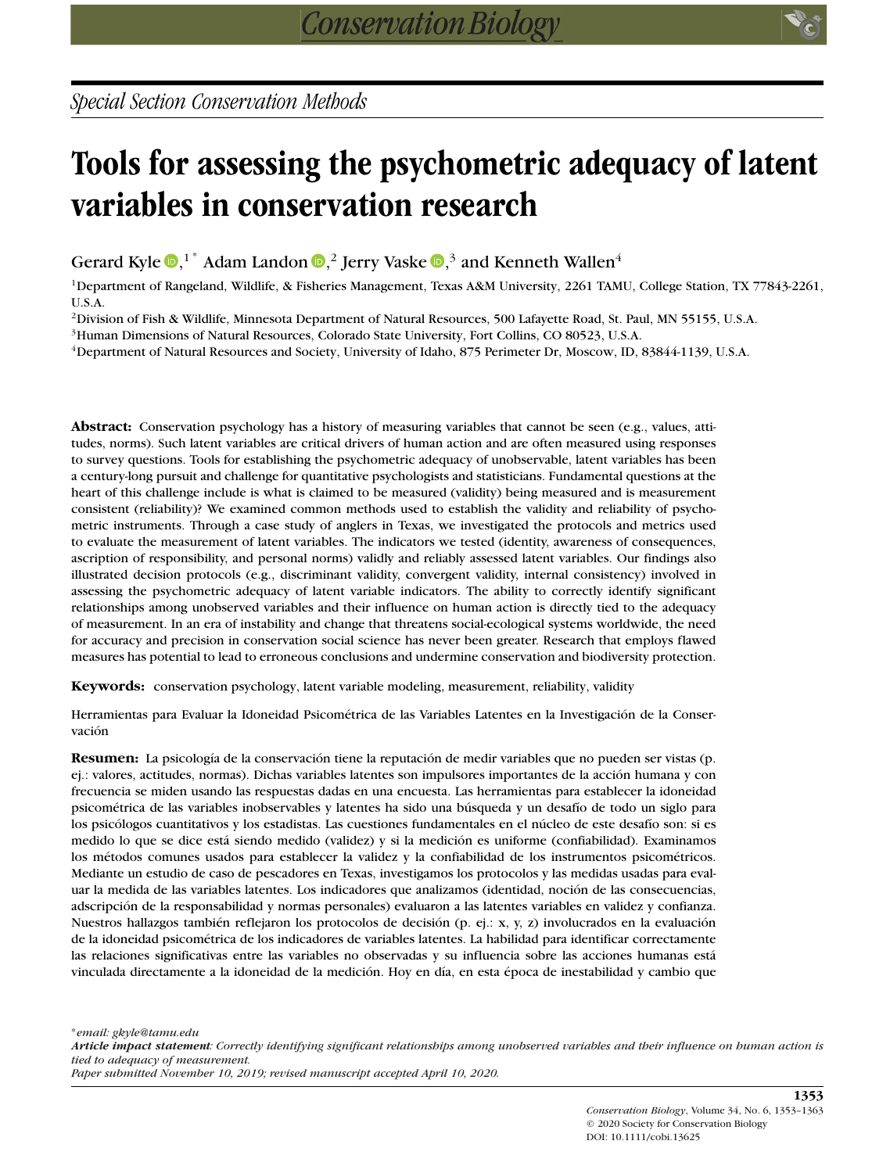# **Tools for assessing the psychometric adequacy of latent variables in conservation research**

Gerard Kyle  $\mathbf{D},^{1^*}$  $\mathbf{D},^{1^*}$  $\mathbf{D},^{1^*}$  Adam Landon  $\mathbf{D},^2$  Jerry Vaske  $\mathbf{D},^3$  and Kenneth Wallen $^4$ 

1Department of Rangeland, Wildlife, & Fisheries Management, Texas A&M University, 2261 TAMU, College Station, TX 77843-2261, U.S.A.

2Division of Fish & Wildlife, Minnesota Department of Natural Resources, 500 Lafayette Road, St. Paul, MN 55155, U.S.A.

3Human Dimensions of Natural Resources, Colorado State University, Fort Collins, CO 80523, U.S.A.

4Department of Natural Resources and Society, University of Idaho, 875 Perimeter Dr, Moscow, ID, 83844-1139, U.S.A.

**Abstract:** Conservation psychology has a history of measuring variables that cannot be seen (e.g., values, attitudes, norms). Such latent variables are critical drivers of human action and are often measured using responses to survey questions. Tools for establishing the psychometric adequacy of unobservable, latent variables has been a century-long pursuit and challenge for quantitative psychologists and statisticians. Fundamental questions at the heart of this challenge include is what is claimed to be measured (validity) being measured and is measurement consistent (reliability)? We examined common methods used to establish the validity and reliability of psychometric instruments. Through a case study of anglers in Texas, we investigated the protocols and metrics used to evaluate the measurement of latent variables. The indicators we tested (identity, awareness of consequences, ascription of responsibility, and personal norms) validly and reliably assessed latent variables. Our findings also illustrated decision protocols (e.g., discriminant validity, convergent validity, internal consistency) involved in assessing the psychometric adequacy of latent variable indicators. The ability to correctly identify significant relationships among unobserved variables and their influence on human action is directly tied to the adequacy of measurement. In an era of instability and change that threatens social-ecological systems worldwide, the need for accuracy and precision in conservation social science has never been greater. Research that employs flawed measures has potential to lead to erroneous conclusions and undermine conservation and biodiversity protection.

**Keywords:** conservation psychology, latent variable modeling, measurement, reliability, validity

Herramientas para Evaluar la Idoneidad Psicométrica de las Variables Latentes en la Investigación de la Conservación

**Resumen:** La psicología de la conservación tiene la reputación de medir variables que no pueden ser vistas (p. ej.: valores, actitudes, normas). Dichas variables latentes son impulsores importantes de la acción humana y con frecuencia se miden usando las respuestas dadas en una encuesta. Las herramientas para establecer la idoneidad psicométrica de las variables inobservables y latentes ha sido una búsqueda y un desafío de todo un siglo para los psicólogos cuantitativos y los estadistas. Las cuestiones fundamentales en el núcleo de este desafío son: si es medido lo que se dice está siendo medido (validez) y si la medición es uniforme (confiabilidad). Examinamos los métodos comunes usados para establecer la validez y la confiabilidad de los instrumentos psicométricos. Mediante un estudio de caso de pescadores en Texas, investigamos los protocolos y las medidas usadas para evaluar la medida de las variables latentes. Los indicadores que analizamos (identidad, noción de las consecuencias, adscripción de la responsabilidad y normas personales) evaluaron a las latentes variables en validez y confianza. Nuestros hallazgos también reflejaron los protocolos de decisión (p. ej.: x, y, z) involucrados en la evaluación de la idoneidad psicométrica de los indicadores de variables latentes. La habilidad para identificar correctamente las relaciones significativas entre las variables no observadas y su influencia sobre las acciones humanas está vinculada directamente a la idoneidad de la medición. Hoy en día, en esta época de inestabilidad y cambio que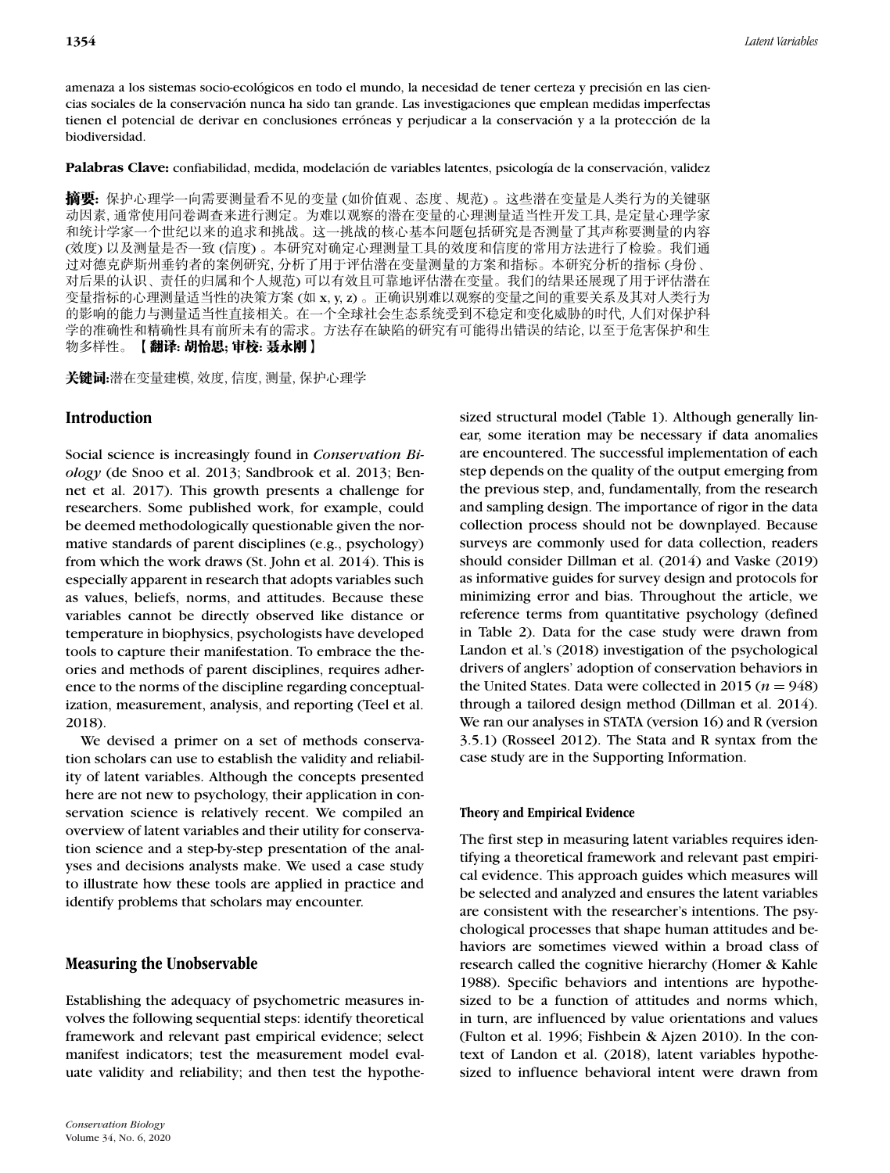amenaza a los sistemas socio-ecológicos en todo el mundo, la necesidad de tener certeza y precisión en las ciencias sociales de la conservación nunca ha sido tan grande. Las investigaciones que emplean medidas imperfectas tienen el potencial de derivar en conclusiones erróneas y perjudicar a la conservación y a la protección de la biodiversidad.

**Palabras Clave:** confiabilidad, medida, modelación de variables latentes, psicología de la conservación, validez

**摘要:** 保护心理学一向需要测量看不见的变量 (如价值观、态度、规范) 。这些潜在变量是人类行为的关键驱 动因素, 通常使用问卷调查来进行测定。为难以观察的潜在变量的心理测量适当性开发工具, 是定量心理学家 和统计学家一个世纪以来的追求和挑战。这一挑战的核心基本问题包括研究是否测量了其声称要测量的内容 (效度) 以及测量是否一致 (信度) 。本研究对确定心理测量工具的效度和信度的常用方法进行了检验。我们通 过对德克萨斯州垂钓者的案例研究, 分析了用于评估潜在变量测量的方案和指标。本研究分析的指标 (身份、 对后果的认识、责任的归属和个人规范) 可以有效且可靠地评估潜在变量。我们的结果还展现了用于评估潜在 变量指标的心理测量适当性的决策方案(如 x, y, z)。正确识别难以观察的变量之间的重要关系及其对人类行为 的影响的能力与测量适当性直接相关。在一个全球社会生态系统受到不稳定和变化威胁的时代, 人们对保护科 学的准确性和精确性具有前所未有的需求。方法存在缺陷的研究有可能得出错误的结论, 以至于危害保护和生 物多样性。【翻译: **胡怡思; 审校: 聂永刚**】

关键词:潜在变量建模, 效度, 信度, 测量, 保护心理学

# **Introduction**

Social science is increasingly found in *Conservation Biology* (de Snoo et al. 2013; Sandbrook et al. 2013; Bennet et al. 2017). This growth presents a challenge for researchers. Some published work, for example, could be deemed methodologically questionable given the normative standards of parent disciplines (e.g., psychology) from which the work draws (St. John et al. 2014). This is especially apparent in research that adopts variables such as values, beliefs, norms, and attitudes. Because these variables cannot be directly observed like distance or temperature in biophysics, psychologists have developed tools to capture their manifestation. To embrace the theories and methods of parent disciplines, requires adherence to the norms of the discipline regarding conceptualization, measurement, analysis, and reporting (Teel et al. 2018).

We devised a primer on a set of methods conservation scholars can use to establish the validity and reliability of latent variables. Although the concepts presented here are not new to psychology, their application in conservation science is relatively recent. We compiled an overview of latent variables and their utility for conservation science and a step-by-step presentation of the analyses and decisions analysts make. We used a case study to illustrate how these tools are applied in practice and identify problems that scholars may encounter.

# **Measuring the Unobservable**

Establishing the adequacy of psychometric measures involves the following sequential steps: identify theoretical framework and relevant past empirical evidence; select manifest indicators; test the measurement model evaluate validity and reliability; and then test the hypothesized structural model (Table 1). Although generally linear, some iteration may be necessary if data anomalies are encountered. The successful implementation of each step depends on the quality of the output emerging from the previous step, and, fundamentally, from the research and sampling design. The importance of rigor in the data collection process should not be downplayed. Because surveys are commonly used for data collection, readers should consider Dillman et al. (2014) and Vaske (2019) as informative guides for survey design and protocols for minimizing error and bias. Throughout the article, we reference terms from quantitative psychology (defined in Table 2). Data for the case study were drawn from Landon et al.'s (2018) investigation of the psychological drivers of anglers' adoption of conservation behaviors in the United States. Data were collected in 2015 ( $n = 948$ ) through a tailored design method (Dillman et al. 2014). We ran our analyses in STATA (version 16) and R (version 3.5.1) (Rosseel 2012). The Stata and R syntax from the case study are in the Supporting Information.

## **Theory and Empirical Evidence**

The first step in measuring latent variables requires identifying a theoretical framework and relevant past empirical evidence. This approach guides which measures will be selected and analyzed and ensures the latent variables are consistent with the researcher's intentions. The psychological processes that shape human attitudes and behaviors are sometimes viewed within a broad class of research called the cognitive hierarchy (Homer & Kahle 1988). Specific behaviors and intentions are hypothesized to be a function of attitudes and norms which, in turn, are influenced by value orientations and values (Fulton et al. 1996; Fishbein & Ajzen 2010). In the context of Landon et al. (2018), latent variables hypothesized to influence behavioral intent were drawn from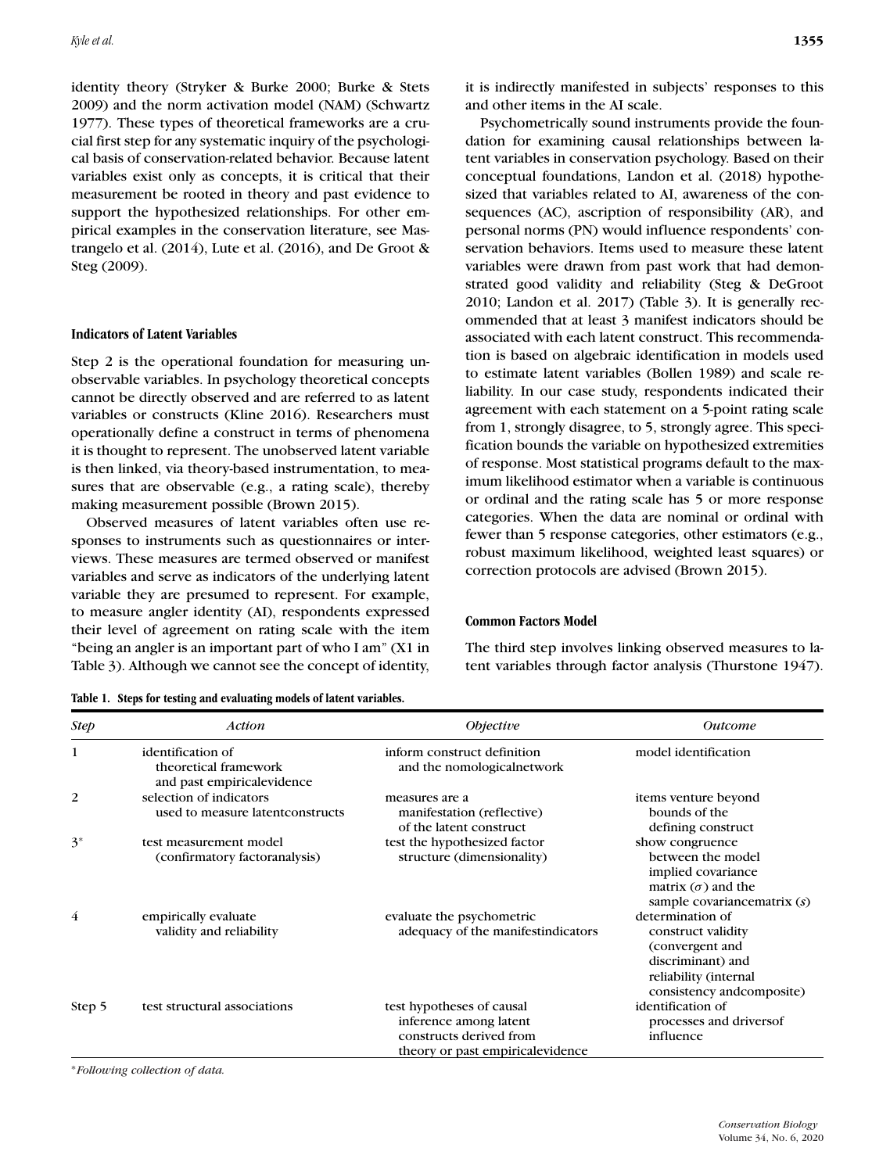identity theory (Stryker & Burke 2000; Burke & Stets 2009) and the norm activation model (NAM) (Schwartz 1977). These types of theoretical frameworks are a crucial first step for any systematic inquiry of the psychological basis of conservation-related behavior. Because latent variables exist only as concepts, it is critical that their measurement be rooted in theory and past evidence to support the hypothesized relationships. For other empirical examples in the conservation literature, see Mastrangelo et al. (2014), Lute et al. (2016), and De Groot & Steg (2009).

#### **Indicators of Latent Variables**

Step 2 is the operational foundation for measuring unobservable variables. In psychology theoretical concepts cannot be directly observed and are referred to as latent variables or constructs (Kline 2016). Researchers must operationally define a construct in terms of phenomena it is thought to represent. The unobserved latent variable is then linked, via theory-based instrumentation, to measures that are observable (e.g., a rating scale), thereby making measurement possible (Brown 2015).

Observed measures of latent variables often use responses to instruments such as questionnaires or interviews. These measures are termed observed or manifest variables and serve as indicators of the underlying latent variable they are presumed to represent. For example, to measure angler identity (AI), respondents expressed their level of agreement on rating scale with the item "being an angler is an important part of who I am" (X1 in Table 3). Although we cannot see the concept of identity,

**Table 1. Steps for testing and evaluating models of latent variables.**

it is indirectly manifested in subjects' responses to this and other items in the AI scale.

Psychometrically sound instruments provide the foundation for examining causal relationships between latent variables in conservation psychology. Based on their conceptual foundations, Landon et al. (2018) hypothesized that variables related to AI, awareness of the consequences (AC), ascription of responsibility (AR), and personal norms (PN) would influence respondents' conservation behaviors. Items used to measure these latent variables were drawn from past work that had demonstrated good validity and reliability (Steg & DeGroot 2010; Landon et al. 2017) (Table 3). It is generally recommended that at least 3 manifest indicators should be associated with each latent construct. This recommendation is based on algebraic identification in models used to estimate latent variables (Bollen 1989) and scale reliability. In our case study, respondents indicated their agreement with each statement on a 5-point rating scale from 1, strongly disagree, to 5, strongly agree. This specification bounds the variable on hypothesized extremities of response. Most statistical programs default to the maximum likelihood estimator when a variable is continuous or ordinal and the rating scale has 5 or more response categories. When the data are nominal or ordinal with fewer than 5 response categories, other estimators (e.g., robust maximum likelihood, weighted least squares) or correction protocols are advised (Brown 2015).

#### **Common Factors Model**

The third step involves linking observed measures to latent variables through factor analysis (Thurstone 1947).

| <b>Step</b> | Action                                                                    | <i><b>Objective</b></i>                                                                                            | <i><u><b>Outcome</b></u></i>                                                                                                          |  |  |
|-------------|---------------------------------------------------------------------------|--------------------------------------------------------------------------------------------------------------------|---------------------------------------------------------------------------------------------------------------------------------------|--|--|
| 1           | identification of<br>theoretical framework<br>and past empirical evidence | inform construct definition<br>and the nomological network                                                         | model identification                                                                                                                  |  |  |
| 2           | selection of indicators<br>used to measure latent constructs              | measures are a<br>manifestation (reflective)<br>of the latent construct                                            | items venture beyond<br>bounds of the<br>defining construct                                                                           |  |  |
| $3^*$       | test measurement model<br>(confirmatory factoranalysis)                   | test the hypothesized factor<br>structure (dimensionality)                                                         | show congruence<br>between the model<br>implied covariance<br>matrix $(\sigma)$ and the<br>sample covariance matrix $(s)$             |  |  |
| 4           | empirically evaluate<br>validity and reliability                          | evaluate the psychometric<br>adequacy of the manifestindicators                                                    | determination of<br>construct validity<br>(convergent and<br>discriminant) and<br>reliability (internal<br>consistency and composite) |  |  |
| Step 5      | test structural associations                                              | test hypotheses of causal<br>inference among latent<br>constructs derived from<br>theory or past empiricalevidence | identification of<br>processes and drivers of<br>influence                                                                            |  |  |

∗*Following collection of data.*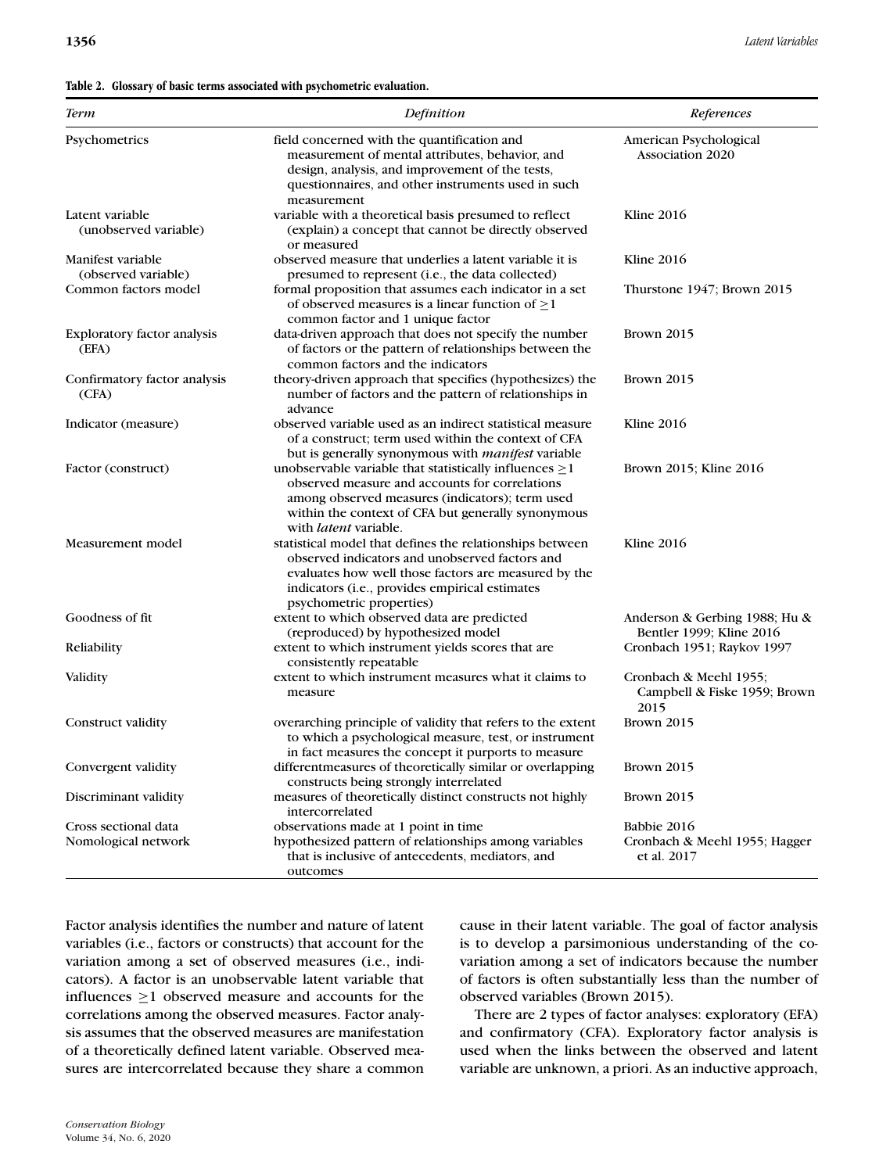|  |  |  | Table 2. Glossary of basic terms associated with psychometric evaluation. |
|--|--|--|---------------------------------------------------------------------------|
|--|--|--|---------------------------------------------------------------------------|

| <b>Term</b>                                 | Definition                                                                                                                                                                                                                                       | References                                                     |  |  |
|---------------------------------------------|--------------------------------------------------------------------------------------------------------------------------------------------------------------------------------------------------------------------------------------------------|----------------------------------------------------------------|--|--|
| Psychometrics                               | field concerned with the quantification and<br>measurement of mental attributes, behavior, and<br>design, analysis, and improvement of the tests,<br>questionnaires, and other instruments used in such<br>measurement                           | American Psychological<br><b>Association 2020</b>              |  |  |
| Latent variable<br>(unobserved variable)    | variable with a theoretical basis presumed to reflect<br>(explain) a concept that cannot be directly observed<br>or measured                                                                                                                     | Kline $2016$                                                   |  |  |
| Manifest variable<br>(observed variable)    | observed measure that underlies a latent variable it is<br>presumed to represent (i.e., the data collected)                                                                                                                                      | Kline 2016                                                     |  |  |
| Common factors model                        | formal proposition that assumes each indicator in a set<br>of observed measures is a linear function of $>1$<br>common factor and 1 unique factor                                                                                                | Thurstone 1947; Brown 2015                                     |  |  |
| <b>Exploratory factor analysis</b><br>(EFA) | data-driven approach that does not specify the number<br>of factors or the pattern of relationships between the<br>common factors and the indicators                                                                                             | Brown 2015                                                     |  |  |
| Confirmatory factor analysis<br>(CFA)       | theory-driven approach that specifies (hypothesizes) the<br>number of factors and the pattern of relationships in<br>advance                                                                                                                     | Brown 2015                                                     |  |  |
| Indicator (measure)                         | observed variable used as an indirect statistical measure<br>of a construct; term used within the context of CFA<br>but is generally synonymous with <i>manifest</i> variable                                                                    | Kline $2016$                                                   |  |  |
| Factor (construct)                          | unobservable variable that statistically influences $\geq$ 1<br>observed measure and accounts for correlations<br>among observed measures (indicators); term used<br>within the context of CFA but generally synonymous<br>with latent variable. | Brown 2015; Kline 2016                                         |  |  |
| Measurement model                           | statistical model that defines the relationships between<br>observed indicators and unobserved factors and<br>evaluates how well those factors are measured by the<br>indicators (i.e., provides empirical estimates<br>psychometric properties) | Kline 2016                                                     |  |  |
| Goodness of fit                             | extent to which observed data are predicted<br>(reproduced) by hypothesized model                                                                                                                                                                | Anderson & Gerbing 1988; Hu &<br>Bentler 1999; Kline 2016      |  |  |
| Reliability                                 | extent to which instrument yields scores that are<br>consistently repeatable                                                                                                                                                                     | Cronbach 1951; Raykov 1997                                     |  |  |
| Validity                                    | extent to which instrument measures what it claims to<br>measure                                                                                                                                                                                 | Cronbach & Meehl 1955;<br>Campbell & Fiske 1959; Brown<br>2015 |  |  |
| Construct validity                          | overarching principle of validity that refers to the extent<br>to which a psychological measure, test, or instrument<br>in fact measures the concept it purports to measure                                                                      | <b>Brown 2015</b>                                              |  |  |
| Convergent validity                         | differentmeasures of theoretically similar or overlapping<br>constructs being strongly interrelated                                                                                                                                              | <b>Brown 2015</b>                                              |  |  |
| Discriminant validity                       | measures of theoretically distinct constructs not highly<br>intercorrelated                                                                                                                                                                      | Brown 2015                                                     |  |  |
| Cross sectional data                        | observations made at 1 point in time<br>hypothesized pattern of relationships among variables                                                                                                                                                    | Babbie 2016<br>Cronbach & Meehl 1955; Hagger                   |  |  |
| Nomological network                         | that is inclusive of antecedents, mediators, and<br>outcomes                                                                                                                                                                                     | et al. 2017                                                    |  |  |

Factor analysis identifies the number and nature of latent variables (i.e., factors or constructs) that account for the variation among a set of observed measures (i.e., indicators). A factor is an unobservable latent variable that influences  $\geq$ 1 observed measure and accounts for the correlations among the observed measures. Factor analysis assumes that the observed measures are manifestation of a theoretically defined latent variable. Observed measures are intercorrelated because they share a common

cause in their latent variable. The goal of factor analysis is to develop a parsimonious understanding of the covariation among a set of indicators because the number of factors is often substantially less than the number of observed variables (Brown 2015).

There are 2 types of factor analyses: exploratory (EFA) and confirmatory (CFA). Exploratory factor analysis is used when the links between the observed and latent variable are unknown, a priori. As an inductive approach,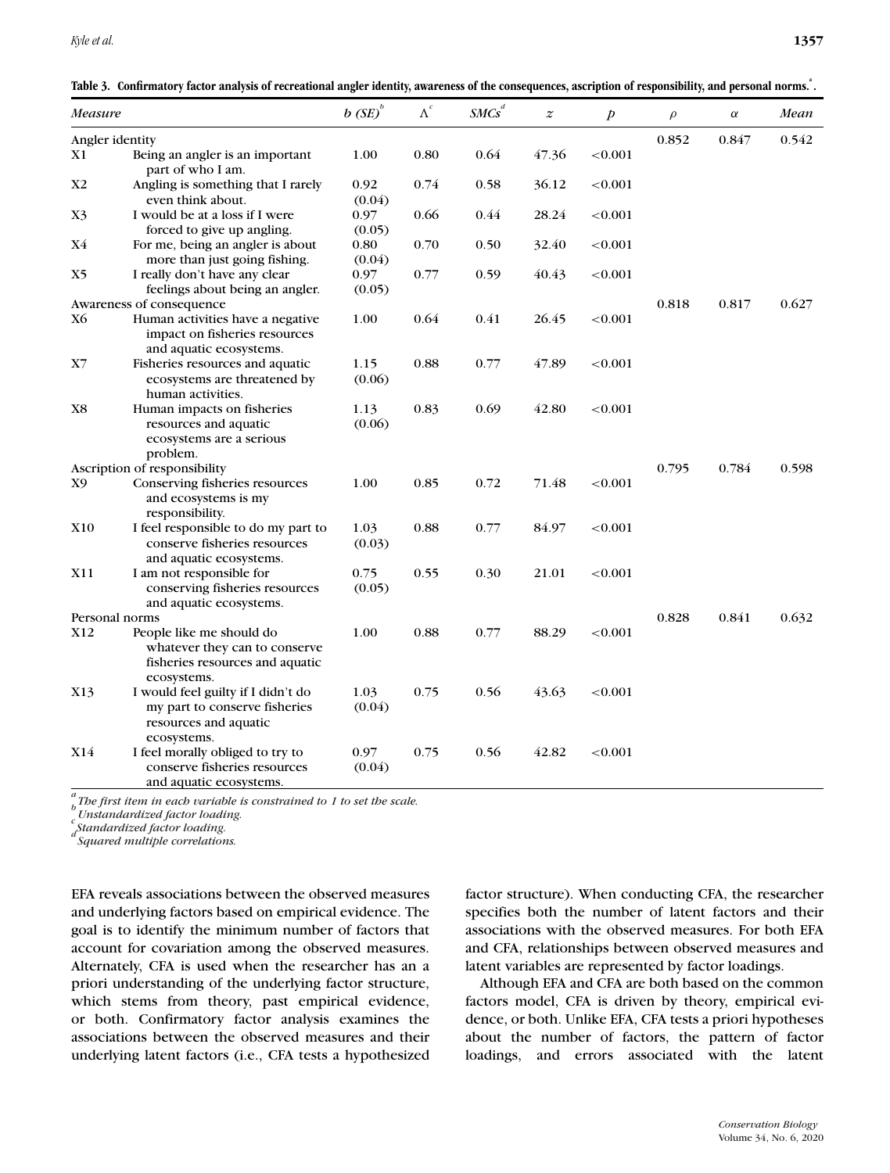|  |  | Table 3. Confirmatory factor analysis of recreational angler identity, awareness of the consequences, ascription of responsibility, and personal norms. <sup>*</sup> |  |  |
|--|--|----------------------------------------------------------------------------------------------------------------------------------------------------------------------|--|--|
|  |  |                                                                                                                                                                      |  |  |

| Measure<br>Angler identity |                                                                                                             | $b(SE)^{b}$        | $\Lambda^c$ | $\mathit{SMCs}^d$ | $\boldsymbol{z}$ | $\boldsymbol{p}$ | $\rho$ | $\alpha$ | Mean  |
|----------------------------|-------------------------------------------------------------------------------------------------------------|--------------------|-------------|-------------------|------------------|------------------|--------|----------|-------|
|                            |                                                                                                             |                    |             |                   |                  |                  | 0.852  | 0.847    | 0.542 |
| X1                         | Being an angler is an important<br>part of who I am.                                                        | 1.00               | 0.80        | 0.64              | 47.36            | < 0.001          |        |          |       |
| X2                         | Angling is something that I rarely<br>even think about.                                                     | 0.92<br>(0.04)     | 0.74        | 0.58              | 36.12            | < 0.001          |        |          |       |
| X3                         | I would be at a loss if I were<br>forced to give up angling.                                                | 0.97<br>(0.05)     | 0.66        | 0.44              | 28.24            | ${<}0.001$       |        |          |       |
| Χ4                         | For me, being an angler is about<br>more than just going fishing.                                           | $0.80\,$<br>(0.04) | 0.70        | 0.50              | 32.40            | < 0.001          |        |          |       |
| X5                         | I really don't have any clear<br>feelings about being an angler.                                            | 0.97<br>(0.05)     | 0.77        | 0.59              | 40.43            | ${<}0.001$       |        |          |       |
|                            | Awareness of consequence                                                                                    |                    |             |                   |                  |                  | 0.818  | 0.817    | 0.627 |
| X6                         | Human activities have a negative<br>impact on fisheries resources<br>and aquatic ecosystems.                | 1.00               | 0.64        | 0.41              | 26.45            | < 0.001          |        |          |       |
| X7                         | Fisheries resources and aquatic<br>ecosystems are threatened by<br>human activities.                        | 1.15<br>(0.06)     | 0.88        | 0.77              | 47.89            | ${<}0.001$       |        |          |       |
| X8                         | Human impacts on fisheries<br>resources and aquatic<br>ecosystems are a serious<br>problem.                 | 1.13<br>(0.06)     | 0.83        | 0.69              | 42.80            | ${<}0.001$       |        |          |       |
|                            | Ascription of responsibility                                                                                |                    |             |                   |                  |                  | 0.795  | 0.784    | 0.598 |
| X9                         | Conserving fisheries resources<br>and ecosystems is my<br>responsibility.                                   | 1.00               | 0.85        | 0.72              | 71.48            | ${<}0.001$       |        |          |       |
| <b>X10</b>                 | I feel responsible to do my part to<br>conserve fisheries resources<br>and aquatic ecosystems.              | 1.03<br>(0.03)     | 0.88        | 0.77              | 84.97            | ${<}0.001$       |        |          |       |
| X11                        | I am not responsible for<br>conserving fisheries resources<br>and aquatic ecosystems.                       | 0.75<br>(0.05)     | 0.55        | 0.30              | 21.01            | ${<}0.001$       |        |          |       |
|                            | Personal norms                                                                                              |                    |             |                   |                  |                  | 0.828  | 0.841    | 0.632 |
| X12                        | People like me should do<br>whatever they can to conserve<br>fisheries resources and aquatic<br>ecosystems. | 1.00               | 0.88        | 0.77              | 88.29            | ${<}0.001$       |        |          |       |
| X13                        | I would feel guilty if I didn't do<br>my part to conserve fisheries<br>resources and aquatic<br>ecosystems. | 1.03<br>(0.04)     | 0.75        | 0.56              | 43.63            | < 0.001          |        |          |       |
| X14                        | I feel morally obliged to try to<br>conserve fisheries resources<br>and aquatic ecosystems.                 | 0.97<br>(0.04)     | 0.75        | 0.56              | 42.82            | ${<}0.001$       |        |          |       |

 $a^{a}$  *The first item in each variable is constrained to 1 to set the scale.* 

*Unstandardized factor loading. <sup>c</sup>*

*Standardized factor loading. d*

*Squared multiple correlations.*

EFA reveals associations between the observed measures and underlying factors based on empirical evidence. The goal is to identify the minimum number of factors that account for covariation among the observed measures. Alternately, CFA is used when the researcher has an a priori understanding of the underlying factor structure, which stems from theory, past empirical evidence, or both. Confirmatory factor analysis examines the associations between the observed measures and their underlying latent factors (i.e., CFA tests a hypothesized factor structure). When conducting CFA, the researcher specifies both the number of latent factors and their associations with the observed measures. For both EFA and CFA, relationships between observed measures and latent variables are represented by factor loadings.

Although EFA and CFA are both based on the common factors model, CFA is driven by theory, empirical evidence, or both. Unlike EFA, CFA tests a priori hypotheses about the number of factors, the pattern of factor loadings, and errors associated with the latent

**.**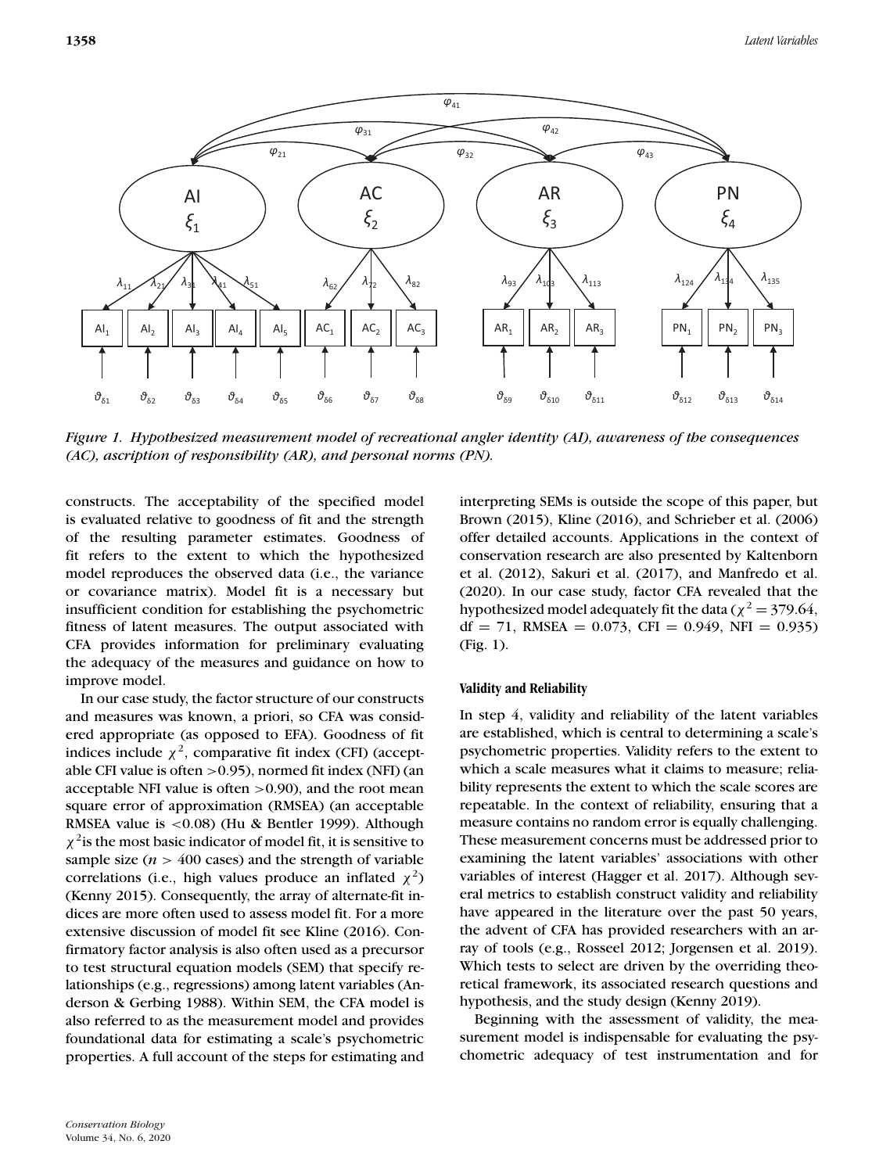

*Figure 1. Hypothesized measurement model of recreational angler identity (AI), awareness of the consequences (AC), ascription of responsibility (AR), and personal norms (PN).*

constructs. The acceptability of the specified model is evaluated relative to goodness of fit and the strength of the resulting parameter estimates. Goodness of fit refers to the extent to which the hypothesized model reproduces the observed data (i.e., the variance or covariance matrix). Model fit is a necessary but insufficient condition for establishing the psychometric fitness of latent measures. The output associated with CFA provides information for preliminary evaluating the adequacy of the measures and guidance on how to improve model.

In our case study, the factor structure of our constructs and measures was known, a priori, so CFA was considered appropriate (as opposed to EFA). Goodness of fit indices include  $\chi^2$ , comparative fit index (CFI) (acceptable CFI value is often >0.95), normed fit index (NFI) (an acceptable NFI value is often  $>0.90$ ), and the root mean square error of approximation (RMSEA) (an acceptable RMSEA value is <0.08) (Hu & Bentler 1999). Although  $\chi^2$  is the most basic indicator of model fit, it is sensitive to sample size  $(n > 400 \text{ cases})$  and the strength of variable correlations (i.e., high values produce an inflated  $\chi^2$ ) (Kenny 2015). Consequently, the array of alternate-fit indices are more often used to assess model fit. For a more extensive discussion of model fit see Kline (2016). Confirmatory factor analysis is also often used as a precursor to test structural equation models (SEM) that specify relationships (e.g., regressions) among latent variables (Anderson & Gerbing 1988). Within SEM, the CFA model is also referred to as the measurement model and provides foundational data for estimating a scale's psychometric properties. A full account of the steps for estimating and interpreting SEMs is outside the scope of this paper, but Brown (2015), Kline (2016), and Schrieber et al. (2006) offer detailed accounts. Applications in the context of conservation research are also presented by Kaltenborn et al. (2012), Sakuri et al. (2017), and Manfredo et al. (2020). In our case study, factor CFA revealed that the hypothesized model adequately fit the data ( $\chi^2 = 379.64$ ,  $df = 71$ , RMSEA = 0.073, CFI = 0.949, NFI = 0.935) (Fig. 1).

### **Validity and Reliability**

In step 4, validity and reliability of the latent variables are established, which is central to determining a scale's psychometric properties. Validity refers to the extent to which a scale measures what it claims to measure; reliability represents the extent to which the scale scores are repeatable. In the context of reliability, ensuring that a measure contains no random error is equally challenging. These measurement concerns must be addressed prior to examining the latent variables' associations with other variables of interest (Hagger et al. 2017). Although several metrics to establish construct validity and reliability have appeared in the literature over the past 50 years, the advent of CFA has provided researchers with an array of tools (e.g., Rosseel 2012; Jorgensen et al. 2019). Which tests to select are driven by the overriding theoretical framework, its associated research questions and hypothesis, and the study design (Kenny 2019).

Beginning with the assessment of validity, the measurement model is indispensable for evaluating the psychometric adequacy of test instrumentation and for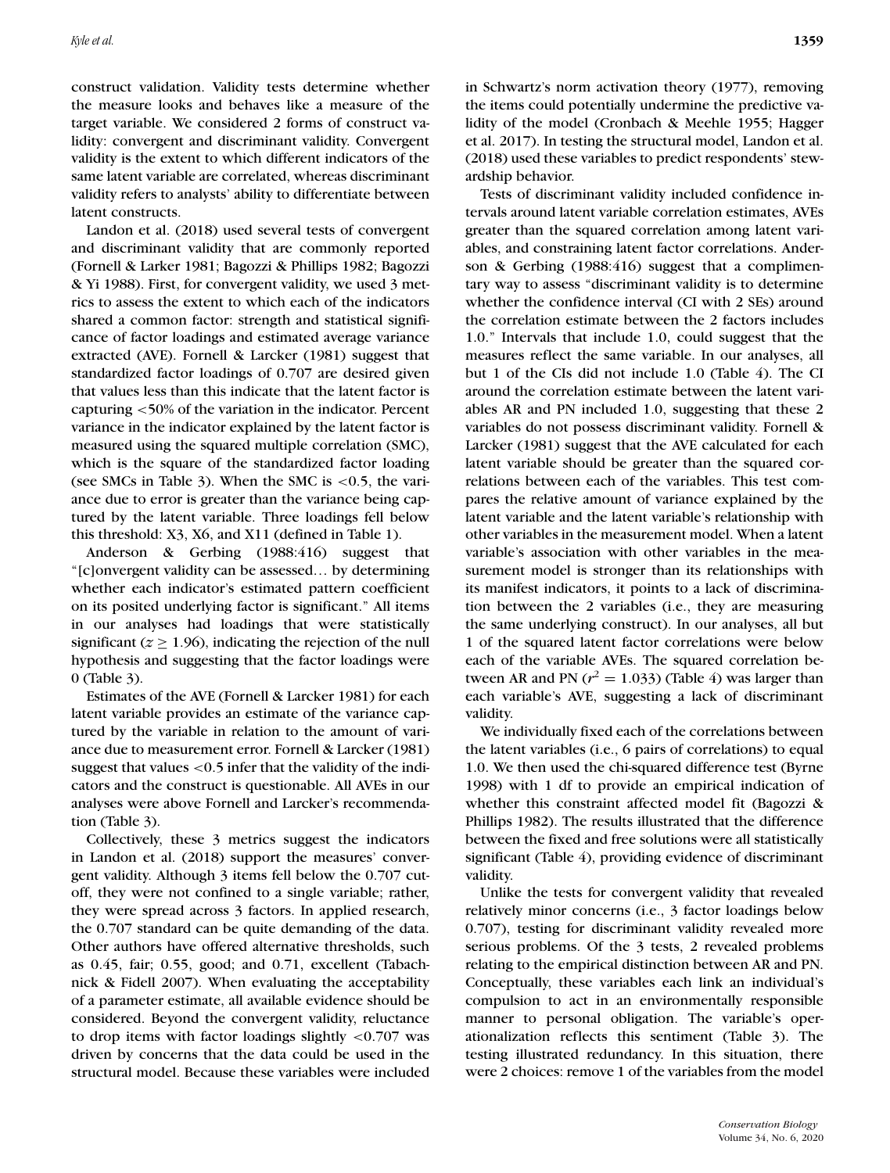construct validation. Validity tests determine whether the measure looks and behaves like a measure of the target variable. We considered 2 forms of construct validity: convergent and discriminant validity. Convergent validity is the extent to which different indicators of the same latent variable are correlated, whereas discriminant validity refers to analysts' ability to differentiate between latent constructs.

Landon et al. (2018) used several tests of convergent and discriminant validity that are commonly reported (Fornell & Larker 1981; Bagozzi & Phillips 1982; Bagozzi & Yi 1988). First, for convergent validity, we used 3 metrics to assess the extent to which each of the indicators shared a common factor: strength and statistical significance of factor loadings and estimated average variance extracted (AVE). Fornell & Larcker (1981) suggest that standardized factor loadings of 0.707 are desired given that values less than this indicate that the latent factor is capturing <50% of the variation in the indicator. Percent variance in the indicator explained by the latent factor is measured using the squared multiple correlation (SMC), which is the square of the standardized factor loading (see SMCs in Table 3). When the SMC is  $< 0.5$ , the variance due to error is greater than the variance being captured by the latent variable. Three loadings fell below this threshold: X3, X6, and X11 (defined in Table 1).

Anderson & Gerbing (1988:416) suggest that "[c]onvergent validity can be assessed… by determining whether each indicator's estimated pattern coefficient on its posited underlying factor is significant." All items in our analyses had loadings that were statistically significant ( $z \ge 1.96$ ), indicating the rejection of the null hypothesis and suggesting that the factor loadings were 0 (Table 3).

Estimates of the AVE (Fornell & Larcker 1981) for each latent variable provides an estimate of the variance captured by the variable in relation to the amount of variance due to measurement error. Fornell & Larcker (1981) suggest that values <0.5 infer that the validity of the indicators and the construct is questionable. All AVEs in our analyses were above Fornell and Larcker's recommendation (Table 3).

Collectively, these 3 metrics suggest the indicators in Landon et al. (2018) support the measures' convergent validity. Although 3 items fell below the 0.707 cutoff, they were not confined to a single variable; rather, they were spread across 3 factors. In applied research, the 0.707 standard can be quite demanding of the data. Other authors have offered alternative thresholds, such as 0.45, fair; 0.55, good; and 0.71, excellent (Tabachnick & Fidell 2007). When evaluating the acceptability of a parameter estimate, all available evidence should be considered. Beyond the convergent validity, reluctance to drop items with factor loadings slightly <0.707 was driven by concerns that the data could be used in the structural model. Because these variables were included in Schwartz's norm activation theory (1977), removing the items could potentially undermine the predictive validity of the model (Cronbach & Meehle 1955; Hagger et al. 2017). In testing the structural model, Landon et al. (2018) used these variables to predict respondents' stewardship behavior.

Tests of discriminant validity included confidence intervals around latent variable correlation estimates, AVEs greater than the squared correlation among latent variables, and constraining latent factor correlations. Anderson & Gerbing (1988:416) suggest that a complimentary way to assess "discriminant validity is to determine whether the confidence interval (CI with 2 SEs) around the correlation estimate between the 2 factors includes 1.0." Intervals that include 1.0, could suggest that the measures reflect the same variable. In our analyses, all but 1 of the CIs did not include 1.0 (Table 4). The CI around the correlation estimate between the latent variables AR and PN included 1.0, suggesting that these 2 variables do not possess discriminant validity. Fornell & Larcker (1981) suggest that the AVE calculated for each latent variable should be greater than the squared correlations between each of the variables. This test compares the relative amount of variance explained by the latent variable and the latent variable's relationship with other variables in the measurement model. When a latent variable's association with other variables in the measurement model is stronger than its relationships with its manifest indicators, it points to a lack of discrimination between the 2 variables (i.e., they are measuring the same underlying construct). In our analyses, all but 1 of the squared latent factor correlations were below each of the variable AVEs. The squared correlation between AR and PN ( $r^2 = 1.033$ ) (Table 4) was larger than each variable's AVE, suggesting a lack of discriminant validity.

We individually fixed each of the correlations between the latent variables (i.e., 6 pairs of correlations) to equal 1.0. We then used the chi-squared difference test (Byrne 1998) with 1 df to provide an empirical indication of whether this constraint affected model fit (Bagozzi & Phillips 1982). The results illustrated that the difference between the fixed and free solutions were all statistically significant (Table 4), providing evidence of discriminant validity.

Unlike the tests for convergent validity that revealed relatively minor concerns (i.e., 3 factor loadings below 0.707), testing for discriminant validity revealed more serious problems. Of the 3 tests, 2 revealed problems relating to the empirical distinction between AR and PN. Conceptually, these variables each link an individual's compulsion to act in an environmentally responsible manner to personal obligation. The variable's operationalization reflects this sentiment (Table 3). The testing illustrated redundancy. In this situation, there were 2 choices: remove 1 of the variables from the model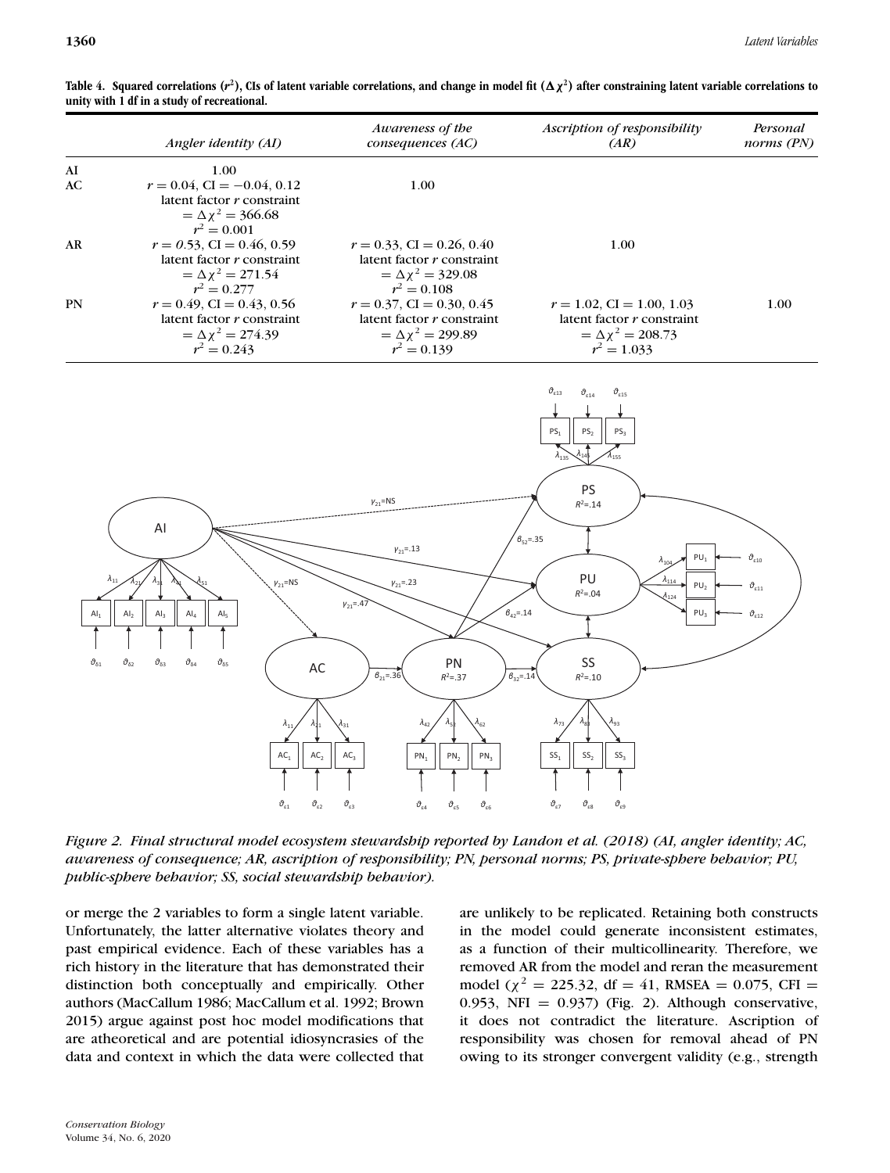

Table  $4$ . Squared correlations  $(r^2)$ , CIs of latent variable correlations, and change in model fit  $(\Delta \chi^2)$  after constraining latent variable correlations to **unity with 1 df in a study of recreational.**

*Figure 2. Final structural model ecosystem stewardship reported by Landon et al. (2018) (AI, angler identity; AC, awareness of consequence; AR, ascription of responsibility; PN, personal norms; PS, private-sphere behavior; PU, public-sphere behavior; SS, social stewardship behavior).*

or merge the 2 variables to form a single latent variable. Unfortunately, the latter alternative violates theory and past empirical evidence. Each of these variables has a rich history in the literature that has demonstrated their distinction both conceptually and empirically. Other authors (MacCallum 1986; MacCallum et al. 1992; Brown 2015) argue against post hoc model modifications that are atheoretical and are potential idiosyncrasies of the data and context in which the data were collected that

are unlikely to be replicated. Retaining both constructs in the model could generate inconsistent estimates, as a function of their multicollinearity. Therefore, we removed AR from the model and reran the measurement model ( $\chi^2 = 225.32$ , df = 41, RMSEA = 0.075, CFI = 0.953, NFI =  $0.937$ ) (Fig. 2). Although conservative, it does not contradict the literature. Ascription of responsibility was chosen for removal ahead of PN owing to its stronger convergent validity (e.g., strength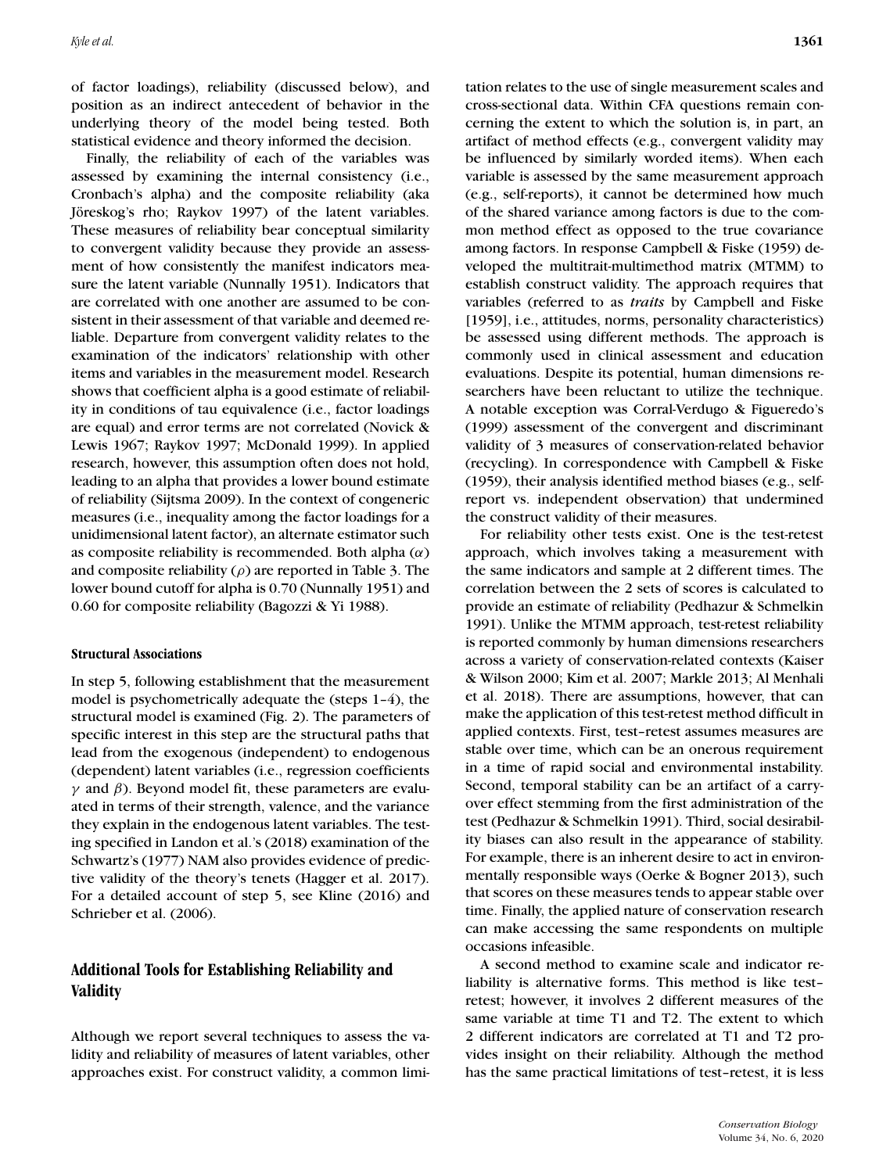of factor loadings), reliability (discussed below), and position as an indirect antecedent of behavior in the underlying theory of the model being tested. Both statistical evidence and theory informed the decision.

Finally, the reliability of each of the variables was assessed by examining the internal consistency (i.e., Cronbach's alpha) and the composite reliability (aka Jӧreskog's rho; Raykov 1997) of the latent variables. These measures of reliability bear conceptual similarity to convergent validity because they provide an assessment of how consistently the manifest indicators measure the latent variable (Nunnally 1951). Indicators that are correlated with one another are assumed to be consistent in their assessment of that variable and deemed reliable. Departure from convergent validity relates to the examination of the indicators' relationship with other items and variables in the measurement model. Research shows that coefficient alpha is a good estimate of reliability in conditions of tau equivalence (i.e., factor loadings are equal) and error terms are not correlated (Novick & Lewis 1967; Raykov 1997; McDonald 1999). In applied research, however, this assumption often does not hold, leading to an alpha that provides a lower bound estimate of reliability (Sijtsma 2009). In the context of congeneric measures (i.e., inequality among the factor loadings for a unidimensional latent factor), an alternate estimator such as composite reliability is recommended. Both alpha  $(\alpha)$ and composite reliability  $(\rho)$  are reported in Table 3. The lower bound cutoff for alpha is 0.70 (Nunnally 1951) and 0.60 for composite reliability (Bagozzi & Yi 1988).

#### **Structural Associations**

In step 5, following establishment that the measurement model is psychometrically adequate the (steps 1–4), the structural model is examined (Fig. 2). The parameters of specific interest in this step are the structural paths that lead from the exogenous (independent) to endogenous (dependent) latent variables (i.e., regression coefficients  $γ$  and  $β$ ). Beyond model fit, these parameters are evaluated in terms of their strength, valence, and the variance they explain in the endogenous latent variables. The testing specified in Landon et al.'s (2018) examination of the Schwartz's (1977) NAM also provides evidence of predictive validity of the theory's tenets (Hagger et al. 2017). For a detailed account of step 5, see Kline (2016) and Schrieber et al. (2006).

## **Additional Tools for Establishing Reliability and Validity**

Although we report several techniques to assess the validity and reliability of measures of latent variables, other approaches exist. For construct validity, a common limi-

tation relates to the use of single measurement scales and cross-sectional data. Within CFA questions remain concerning the extent to which the solution is, in part, an artifact of method effects (e.g., convergent validity may be influenced by similarly worded items). When each variable is assessed by the same measurement approach (e.g., self-reports), it cannot be determined how much of the shared variance among factors is due to the common method effect as opposed to the true covariance among factors. In response Campbell & Fiske (1959) developed the multitrait-multimethod matrix (MTMM) to establish construct validity. The approach requires that variables (referred to as *traits* by Campbell and Fiske [1959], i.e., attitudes, norms, personality characteristics) be assessed using different methods. The approach is commonly used in clinical assessment and education evaluations. Despite its potential, human dimensions researchers have been reluctant to utilize the technique. A notable exception was Corral-Verdugo & Figueredo's (1999) assessment of the convergent and discriminant validity of 3 measures of conservation-related behavior (recycling). In correspondence with Campbell & Fiske (1959), their analysis identified method biases (e.g., selfreport vs. independent observation) that undermined

For reliability other tests exist. One is the test-retest approach, which involves taking a measurement with the same indicators and sample at 2 different times. The correlation between the 2 sets of scores is calculated to provide an estimate of reliability (Pedhazur & Schmelkin 1991). Unlike the MTMM approach, test-retest reliability is reported commonly by human dimensions researchers across a variety of conservation-related contexts (Kaiser & Wilson 2000; Kim et al. 2007; Markle 2013; Al Menhali et al. 2018). There are assumptions, however, that can make the application of this test-retest method difficult in applied contexts. First, test–retest assumes measures are stable over time, which can be an onerous requirement in a time of rapid social and environmental instability. Second, temporal stability can be an artifact of a carryover effect stemming from the first administration of the test (Pedhazur & Schmelkin 1991). Third, social desirability biases can also result in the appearance of stability. For example, there is an inherent desire to act in environmentally responsible ways (Oerke & Bogner 2013), such that scores on these measures tends to appear stable over time. Finally, the applied nature of conservation research can make accessing the same respondents on multiple occasions infeasible.

the construct validity of their measures.

A second method to examine scale and indicator reliability is alternative forms. This method is like test– retest; however, it involves 2 different measures of the same variable at time T1 and T2. The extent to which 2 different indicators are correlated at T1 and T2 provides insight on their reliability. Although the method has the same practical limitations of test–retest, it is less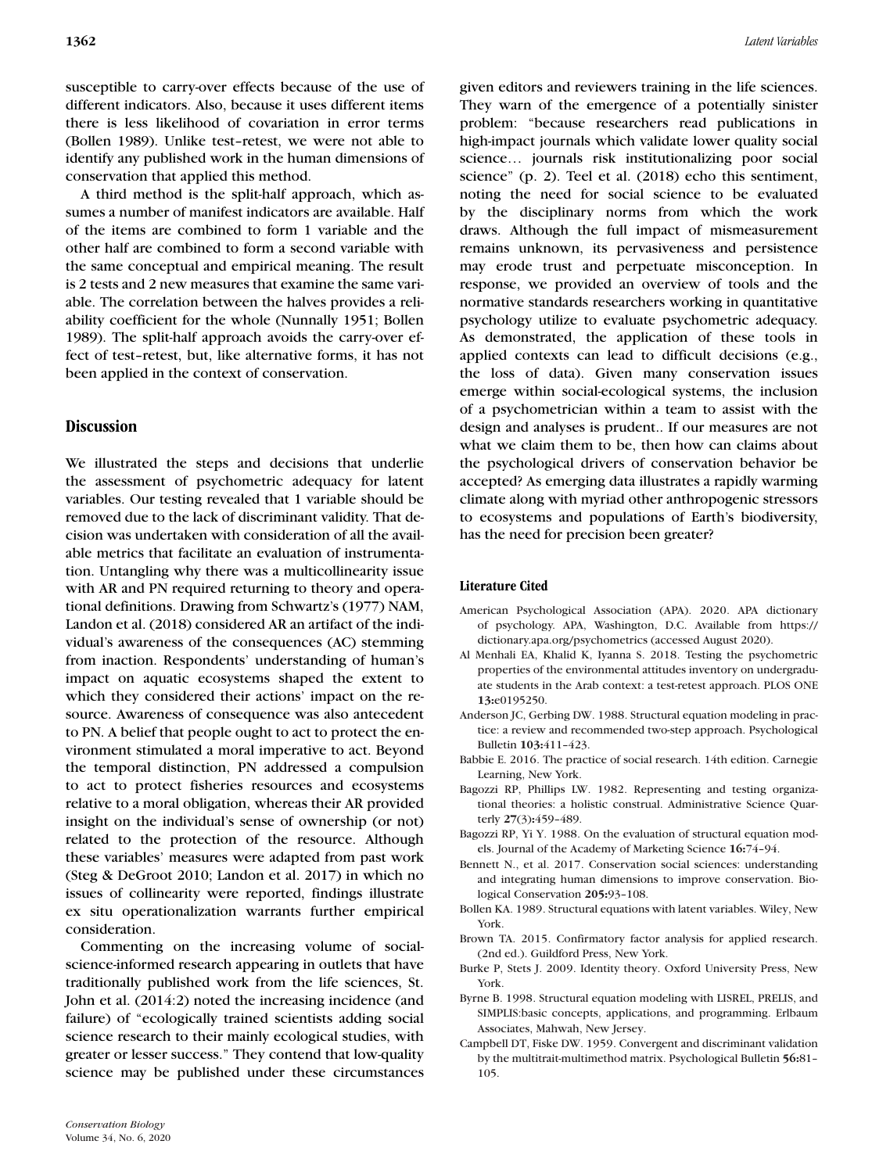susceptible to carry-over effects because of the use of different indicators. Also, because it uses different items there is less likelihood of covariation in error terms (Bollen 1989). Unlike test–retest, we were not able to identify any published work in the human dimensions of conservation that applied this method.

A third method is the split-half approach, which assumes a number of manifest indicators are available. Half of the items are combined to form 1 variable and the other half are combined to form a second variable with the same conceptual and empirical meaning. The result is 2 tests and 2 new measures that examine the same variable. The correlation between the halves provides a reliability coefficient for the whole (Nunnally 1951; Bollen 1989). The split-half approach avoids the carry-over effect of test–retest, but, like alternative forms, it has not been applied in the context of conservation.

## **Discussion**

We illustrated the steps and decisions that underlie the assessment of psychometric adequacy for latent variables. Our testing revealed that 1 variable should be removed due to the lack of discriminant validity. That decision was undertaken with consideration of all the available metrics that facilitate an evaluation of instrumentation. Untangling why there was a multicollinearity issue with AR and PN required returning to theory and operational definitions. Drawing from Schwartz's (1977) NAM, Landon et al. (2018) considered AR an artifact of the individual's awareness of the consequences (AC) stemming from inaction. Respondents' understanding of human's impact on aquatic ecosystems shaped the extent to which they considered their actions' impact on the resource. Awareness of consequence was also antecedent to PN. A belief that people ought to act to protect the environment stimulated a moral imperative to act. Beyond the temporal distinction, PN addressed a compulsion to act to protect fisheries resources and ecosystems relative to a moral obligation, whereas their AR provided insight on the individual's sense of ownership (or not) related to the protection of the resource. Although these variables' measures were adapted from past work (Steg & DeGroot 2010; Landon et al. 2017) in which no issues of collinearity were reported, findings illustrate ex situ operationalization warrants further empirical consideration.

Commenting on the increasing volume of socialscience-informed research appearing in outlets that have traditionally published work from the life sciences, St. John et al. (2014:2) noted the increasing incidence (and failure) of "ecologically trained scientists adding social science research to their mainly ecological studies, with greater or lesser success." They contend that low-quality science may be published under these circumstances

given editors and reviewers training in the life sciences. They warn of the emergence of a potentially sinister problem: "because researchers read publications in high-impact journals which validate lower quality social science… journals risk institutionalizing poor social science" (p. 2). Teel et al. (2018) echo this sentiment, noting the need for social science to be evaluated by the disciplinary norms from which the work draws. Although the full impact of mismeasurement remains unknown, its pervasiveness and persistence may erode trust and perpetuate misconception. In response, we provided an overview of tools and the normative standards researchers working in quantitative psychology utilize to evaluate psychometric adequacy. As demonstrated, the application of these tools in applied contexts can lead to difficult decisions (e.g., the loss of data). Given many conservation issues emerge within social-ecological systems, the inclusion of a psychometrician within a team to assist with the design and analyses is prudent.. If our measures are not what we claim them to be, then how can claims about the psychological drivers of conservation behavior be accepted? As emerging data illustrates a rapidly warming climate along with myriad other anthropogenic stressors to ecosystems and populations of Earth's biodiversity, has the need for precision been greater?

### **Literature Cited**

- American Psychological Association (APA). 2020. APA dictionary of psychology. APA, Washington, D.C. Available from [https://](https://dictionary.apa.org/psychometrics) [dictionary.apa.org/psychometrics](https://dictionary.apa.org/psychometrics) (accessed August 2020).
- Al Menhali EA, Khalid K, Iyanna S. 2018. Testing the psychometric properties of the environmental attitudes inventory on undergraduate students in the Arab context: a test-retest approach. PLOS ONE **13:**e0195250.
- Anderson JC, Gerbing DW. 1988. Structural equation modeling in practice: a review and recommended two-step approach. Psychological Bulletin **103:**411–423.
- Babbie E. 2016. The practice of social research. 14th edition. Carnegie Learning, New York.
- Bagozzi RP, Phillips LW. 1982. Representing and testing organizational theories: a holistic construal. Administrative Science Quarterly **27**(3)**:**459–489.
- Bagozzi RP, Yi Y. 1988. On the evaluation of structural equation models. Journal of the Academy of Marketing Science **16:**74–94.
- Bennett N., et al. 2017. Conservation social sciences: understanding and integrating human dimensions to improve conservation. Biological Conservation **205:**93–108.
- Bollen KA. 1989. Structural equations with latent variables. Wiley, New York.
- Brown TA. 2015. Confirmatory factor analysis for applied research. (2nd ed.). Guildford Press, New York.
- Burke P, Stets J. 2009. Identity theory. Oxford University Press, New York.
- Byrne B. 1998. Structural equation modeling with LISREL, PRELIS, and SIMPLIS:basic concepts, applications, and programming. Erlbaum Associates, Mahwah, New Jersey.
- Campbell DT, Fiske DW. 1959. Convergent and discriminant validation by the multitrait-multimethod matrix. Psychological Bulletin **56:**81– 105.